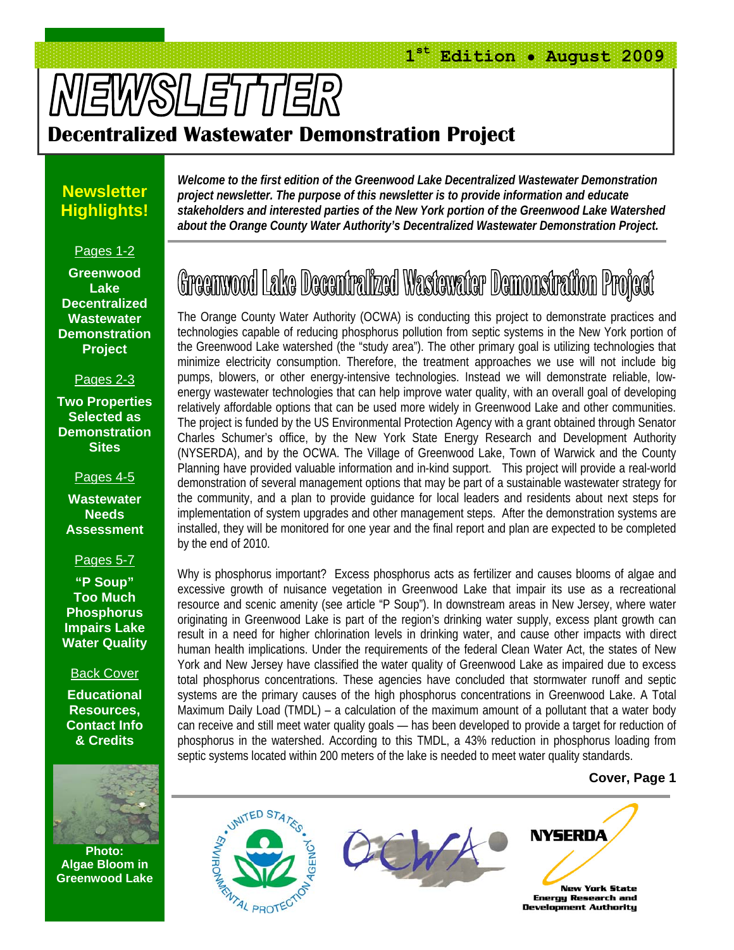# **NEWSLETTER**

### **Decentralized Wastewater Demonstration Project**

#### **Newsletter Highlights!**

Pages 1-2

**Greenwood Lake Decentralized Wastewater Demonstration Project** 

Pages 2-3

**Two Properties Selected as Demonstration Sites** 

Pages 4-5

**Wastewater Needs Assessment** 

Pages 5-7

**"P Soup" Too Much Phosphorus Impairs Lake Water Quality** 

Back Cover

**Educational Resources, Contact Info & Credits** 



**Photo: Algae Bloom in Greenwood Lake** 

*Welcome to the first edition of the Greenwood Lake Decentralized Wastewater Demonstration project newsletter. The purpose of this newsletter is to provide information and educate stakeholders and interested parties of the New York portion of the Greenwood Lake Watershed about the Orange County Water Authority's Decentralized Wastewater Demonstration Project.* 

### Greenwood Lake Decentralized Wastewater Demonstration Project

The Orange County Water Authority (OCWA) is conducting this project to demonstrate practices and technologies capable of reducing phosphorus pollution from septic systems in the New York portion of the Greenwood Lake watershed (the "study area"). The other primary goal is utilizing technologies that minimize electricity consumption. Therefore, the treatment approaches we use will not include big pumps, blowers, or other energy-intensive technologies. Instead we will demonstrate reliable, lowenergy wastewater technologies that can help improve water quality, with an overall goal of developing relatively affordable options that can be used more widely in Greenwood Lake and other communities. The project is funded by the US Environmental Protection Agency with a grant obtained through Senator Charles Schumer's office, by the New York State Energy Research and Development Authority (NYSERDA), and by the OCWA. The Village of Greenwood Lake, Town of Warwick and the County Planning have provided valuable information and in-kind support. This project will provide a real-world demonstration of several management options that may be part of a sustainable wastewater strategy for the community, and a plan to provide guidance for local leaders and residents about next steps for implementation of system upgrades and other management steps. After the demonstration systems are installed, they will be monitored for one year and the final report and plan are expected to be completed by the end of 2010.

Why is phosphorus important? Excess phosphorus acts as fertilizer and causes blooms of algae and excessive growth of nuisance vegetation in Greenwood Lake that impair its use as a recreational resource and scenic amenity (see article "P Soup"). In downstream areas in New Jersey, where water originating in Greenwood Lake is part of the region's drinking water supply, excess plant growth can result in a need for higher chlorination levels in drinking water, and cause other impacts with direct human health implications. Under the requirements of the federal Clean Water Act, the states of New York and New Jersey have classified the water quality of Greenwood Lake as impaired due to excess total phosphorus concentrations. These agencies have concluded that stormwater runoff and septic systems are the primary causes of the high phosphorus concentrations in Greenwood Lake. A Total Maximum Daily Load (TMDL) – a calculation of the maximum amount of a pollutant that a water body can receive and still meet water quality goals — has been developed to provide a target for reduction of phosphorus in the watershed. According to this TMDL, a 43% reduction in phosphorus loading from septic systems located within 200 meters of the lake is needed to meet water quality standards.

#### **Cover, Page 1**

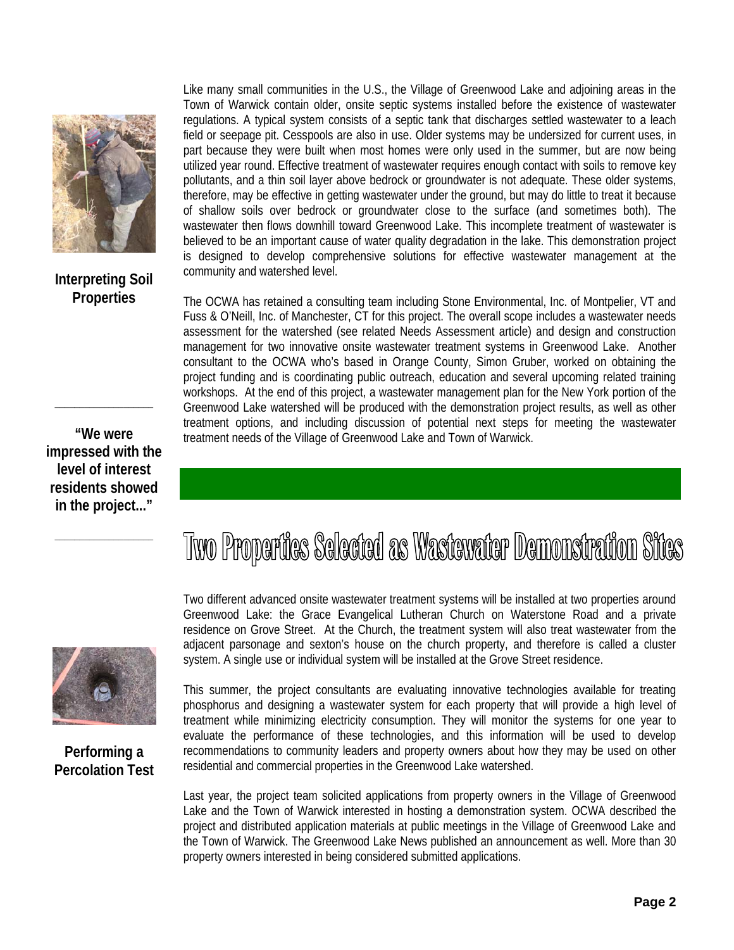

**Interpreting Soil Properties** 

**"We were impressed with the level of interest residents showed in the project..."** 

**\_\_\_\_\_\_\_\_\_\_\_\_\_\_\_\_\_\_\_\_** 

**\_\_\_\_\_\_\_\_\_\_\_\_\_\_\_\_\_\_\_\_** 

Like many small communities in the U.S., the Village of Greenwood Lake and adjoining areas in the Town of Warwick contain older, onsite septic systems installed before the existence of wastewater regulations. A typical system consists of a septic tank that discharges settled wastewater to a leach field or seepage pit. Cesspools are also in use. Older systems may be undersized for current uses, in part because they were built when most homes were only used in the summer, but are now being utilized year round. Effective treatment of wastewater requires enough contact with soils to remove key pollutants, and a thin soil layer above bedrock or groundwater is not adequate. These older systems, therefore, may be effective in getting wastewater under the ground, but may do little to treat it because of shallow soils over bedrock or groundwater close to the surface (and sometimes both). The wastewater then flows downhill toward Greenwood Lake. This incomplete treatment of wastewater is believed to be an important cause of water quality degradation in the lake. This demonstration project is designed to develop comprehensive solutions for effective wastewater management at the community and watershed level.

The OCWA has retained a consulting team including Stone Environmental, Inc. of Montpelier, VT and Fuss & O'Neill, Inc. of Manchester, CT for this project. The overall scope includes a wastewater needs assessment for the watershed (see related Needs Assessment article) and design and construction management for two innovative onsite wastewater treatment systems in Greenwood Lake. Another consultant to the OCWA who's based in Orange County, Simon Gruber, worked on obtaining the project funding and is coordinating public outreach, education and several upcoming related training workshops. At the end of this project, a wastewater management plan for the New York portion of the Greenwood Lake watershed will be produced with the demonstration project results, as well as other treatment options, and including discussion of potential next steps for meeting the wastewater treatment needs of the Village of Greenwood Lake and Town of Warwick.

**Performing a Percolation Test** 

### Tivo Properties Selected as Wastewater Demonstration Sites

Two different advanced onsite wastewater treatment systems will be installed at two properties around Greenwood Lake: the Grace Evangelical Lutheran Church on Waterstone Road and a private residence on Grove Street. At the Church, the treatment system will also treat wastewater from the adjacent parsonage and sexton's house on the church property, and therefore is called a cluster system. A single use or individual system will be installed at the Grove Street residence.

This summer, the project consultants are evaluating innovative technologies available for treating phosphorus and designing a wastewater system for each property that will provide a high level of treatment while minimizing electricity consumption. They will monitor the systems for one year to evaluate the performance of these technologies, and this information will be used to develop recommendations to community leaders and property owners about how they may be used on other residential and commercial properties in the Greenwood Lake watershed.

Last year, the project team solicited applications from property owners in the Village of Greenwood Lake and the Town of Warwick interested in hosting a demonstration system. OCWA described the project and distributed application materials at public meetings in the Village of Greenwood Lake and the Town of Warwick. The Greenwood Lake News published an announcement as well. More than 30 property owners interested in being considered submitted applications.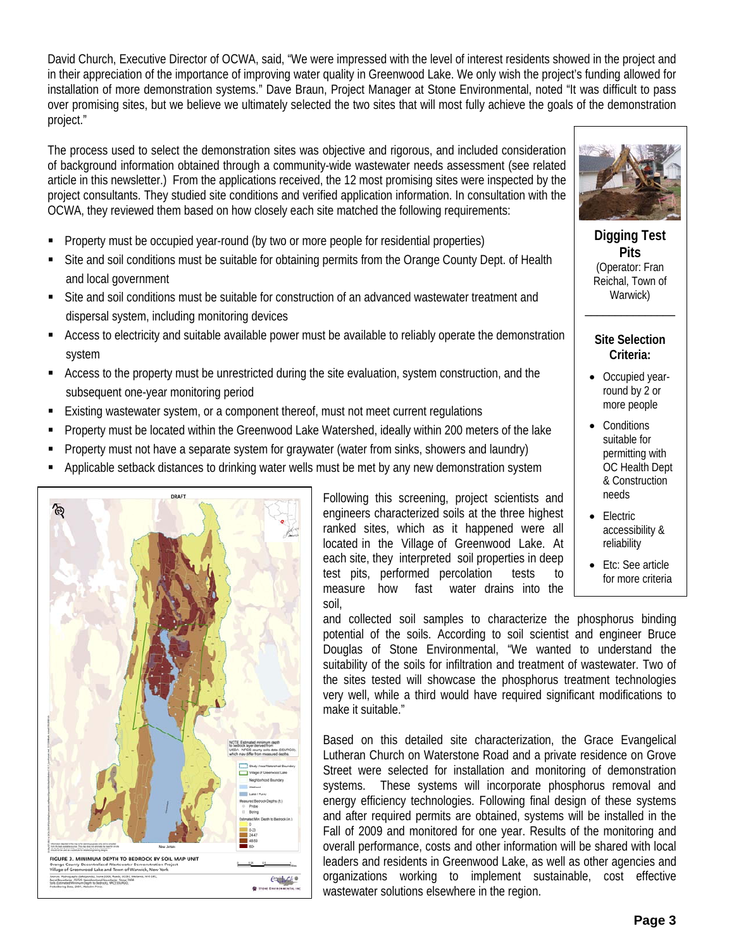David Church, Executive Director of OCWA, said, "We were impressed with the level of interest residents showed in the project and in their appreciation of the importance of improving water quality in Greenwood Lake. We only wish the project's funding allowed for installation of more demonstration systems." Dave Braun, Project Manager at Stone Environmental, noted "It was difficult to pass over promising sites, but we believe we ultimately selected the two sites that will most fully achieve the goals of the demonstration project."

The process used to select the demonstration sites was objective and rigorous, and included consideration of background information obtained through a community-wide wastewater needs assessment (see related article in this newsletter.) From the applications received, the 12 most promising sites were inspected by the project consultants. They studied site conditions and verified application information. In consultation with the OCWA, they reviewed them based on how closely each site matched the following requirements:

- Property must be occupied year-round (by two or more people for residential properties)
- Site and soil conditions must be suitable for obtaining permits from the Orange County Dept. of Health and local government
- Site and soil conditions must be suitable for construction of an advanced wastewater treatment and dispersal system, including monitoring devices
- Access to electricity and suitable available power must be available to reliably operate the demonstration system
- Access to the property must be unrestricted during the site evaluation, system construction, and the subsequent one-year monitoring period
- Existing wastewater system, or a component thereof, must not meet current regulations
- Property must be located within the Greenwood Lake Watershed, ideally within 200 meters of the lake
- Property must not have a separate system for graywater (water from sinks, showers and laundry)
- Applicable setback distances to drinking water wells must be met by any new demonstration system



Following this screening, project scientists and engineers characterized soils at the three highest ranked sites, which as it happened were all located in the Village of Greenwood Lake. At each site, they interpreted soil properties in deep test pits, performed percolation tests to measure how fast water drains into the soil,



**Digging Test Pits**  (Operator: Fran Reichal, Town of Warwick)

#### **Site Selection Criteria:**

 $\frac{1}{2}$ 

- Occupied yearround by 2 or more people
- Conditions suitable for permitting with OC Health Dept & Construction needs
- Electric accessibility & reliability
- Etc: See article for more criteria

and collected soil samples to characterize the phosphorus binding potential of the soils. According to soil scientist and engineer Bruce Douglas of Stone Environmental, "We wanted to understand the suitability of the soils for infiltration and treatment of wastewater. Two of the sites tested will showcase the phosphorus treatment technologies very well, while a third would have required significant modifications to make it suitable."

Based on this detailed site characterization, the Grace Evangelical Lutheran Church on Waterstone Road and a private residence on Grove Street were selected for installation and monitoring of demonstration systems. These systems will incorporate phosphorus removal and energy efficiency technologies. Following final design of these systems and after required permits are obtained, systems will be installed in the Fall of 2009 and monitored for one year. Results of the monitoring and overall performance, costs and other information will be shared with local leaders and residents in Greenwood Lake, as well as other agencies and organizations working to implement sustainable, cost effective wastewater solutions elsewhere in the region.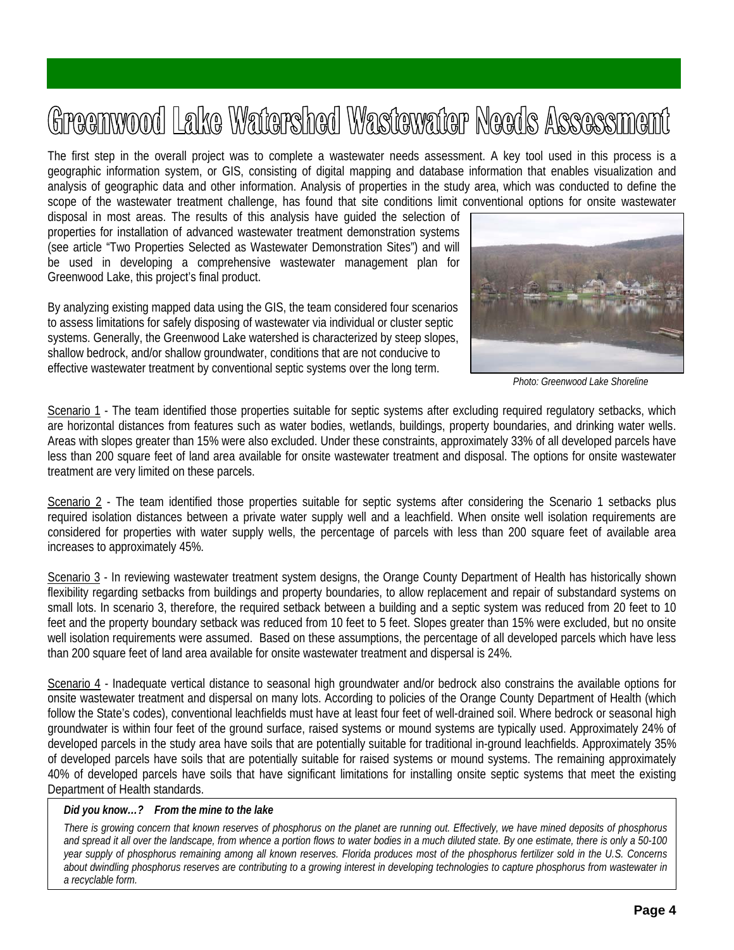## Greenwood Lake Watershed Wastewater Needs Assessment

The first step in the overall project was to complete a wastewater needs assessment. A key tool used in this process is a geographic information system, or GIS, consisting of digital mapping and database information that enables visualization and analysis of geographic data and other information. Analysis of properties in the study area, which was conducted to define the scope of the wastewater treatment challenge, has found that site conditions limit conventional options for onsite wastewater

disposal in most areas. The results of this analysis have guided the selection of properties for installation of advanced wastewater treatment demonstration systems (see article "Two Properties Selected as Wastewater Demonstration Sites") and will be used in developing a comprehensive wastewater management plan for Greenwood Lake, this project's final product.

By analyzing existing mapped data using the GIS, the team considered four scenarios to assess limitations for safely disposing of wastewater via individual or cluster septic systems. Generally, the Greenwood Lake watershed is characterized by steep slopes, shallow bedrock, and/or shallow groundwater, conditions that are not conducive to effective wastewater treatment by conventional septic systems over the long term.



 *Photo: Greenwood Lake Shoreline* 

Scenario 1 - The team identified those properties suitable for septic systems after excluding required regulatory setbacks, which are horizontal distances from features such as water bodies, wetlands, buildings, property boundaries, and drinking water wells. Areas with slopes greater than 15% were also excluded. Under these constraints, approximately 33% of all developed parcels have less than 200 square feet of land area available for onsite wastewater treatment and disposal. The options for onsite wastewater treatment are very limited on these parcels.

Scenario 2 - The team identified those properties suitable for septic systems after considering the Scenario 1 setbacks plus required isolation distances between a private water supply well and a leachfield. When onsite well isolation requirements are considered for properties with water supply wells, the percentage of parcels with less than 200 square feet of available area increases to approximately 45%.

Scenario 3 - In reviewing wastewater treatment system designs, the Orange County Department of Health has historically shown flexibility regarding setbacks from buildings and property boundaries, to allow replacement and repair of substandard systems on small lots. In scenario 3, therefore, the required setback between a building and a septic system was reduced from 20 feet to 10 feet and the property boundary setback was reduced from 10 feet to 5 feet. Slopes greater than 15% were excluded, but no onsite well isolation requirements were assumed. Based on these assumptions, the percentage of all developed parcels which have less than 200 square feet of land area available for onsite wastewater treatment and dispersal is 24%.

Scenario 4 - Inadequate vertical distance to seasonal high groundwater and/or bedrock also constrains the available options for onsite wastewater treatment and dispersal on many lots. According to policies of the Orange County Department of Health (which follow the State's codes), conventional leachfields must have at least four feet of well-drained soil. Where bedrock or seasonal high groundwater is within four feet of the ground surface, raised systems or mound systems are typically used. Approximately 24% of developed parcels in the study area have soils that are potentially suitable for traditional in-ground leachfields. Approximately 35% of developed parcels have soils that are potentially suitable for raised systems or mound systems. The remaining approximately 40% of developed parcels have soils that have significant limitations for installing onsite septic systems that meet the existing Department of Health standards.

#### *Did you know…? From the mine to the lake*

*There is growing concern that known reserves of phosphorus on the planet are running out. Effectively, we have mined deposits of phosphorus and spread it all over the landscape, from whence a portion flows to water bodies in a much diluted state. By one estimate, there is only a 50-100 year supply of phosphorus remaining among all known reserves. Florida produces most of the phosphorus fertilizer sold in the U.S. Concerns about dwindling phosphorus reserves are contributing to a growing interest in developing technologies to capture phosphorus from wastewater in a recyclable form.*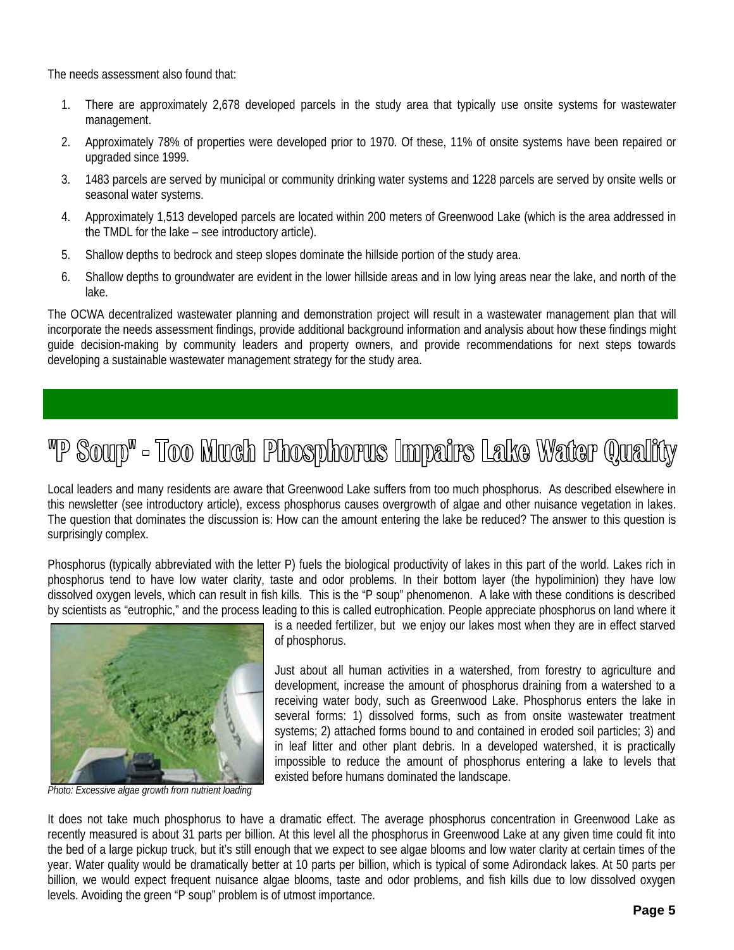The needs assessment also found that:

- 1. There are approximately 2,678 developed parcels in the study area that typically use onsite systems for wastewater management.
- 2. Approximately 78% of properties were developed prior to 1970. Of these, 11% of onsite systems have been repaired or upgraded since 1999.
- 3. 1483 parcels are served by municipal or community drinking water systems and 1228 parcels are served by onsite wells or seasonal water systems.
- 4. Approximately 1,513 developed parcels are located within 200 meters of Greenwood Lake (which is the area addressed in the TMDL for the lake – see introductory article).
- 5. Shallow depths to bedrock and steep slopes dominate the hillside portion of the study area.
- 6. Shallow depths to groundwater are evident in the lower hillside areas and in low lying areas near the lake, and north of the lake.

The OCWA decentralized wastewater planning and demonstration project will result in a wastewater management plan that will incorporate the needs assessment findings, provide additional background information and analysis about how these findings might guide decision-making by community leaders and property owners, and provide recommendations for next steps towards developing a sustainable wastewater management strategy for the study area.

### "P Soup" - Too Much Phosphorus Impairs Lake Water Quality

Local leaders and many residents are aware that Greenwood Lake suffers from too much phosphorus. As described elsewhere in this newsletter (see introductory article), excess phosphorus causes overgrowth of algae and other nuisance vegetation in lakes. The question that dominates the discussion is: How can the amount entering the lake be reduced? The answer to this question is surprisingly complex.

Phosphorus (typically abbreviated with the letter P) fuels the biological productivity of lakes in this part of the world. Lakes rich in phosphorus tend to have low water clarity, taste and odor problems. In their bottom layer (the hypoliminion) they have low dissolved oxygen levels, which can result in fish kills. This is the "P soup" phenomenon. A lake with these conditions is described by scientists as "eutrophic," and the process leading to this is called eutrophication. People appreciate phosphorus on land where it



*Photo: Excessive algae growth from nutrient loading*

is a needed fertilizer, but we enjoy our lakes most when they are in effect starved of phosphorus.

Just about all human activities in a watershed, from forestry to agriculture and development, increase the amount of phosphorus draining from a watershed to a receiving water body, such as Greenwood Lake. Phosphorus enters the lake in several forms: 1) dissolved forms, such as from onsite wastewater treatment systems; 2) attached forms bound to and contained in eroded soil particles; 3) and in leaf litter and other plant debris. In a developed watershed, it is practically impossible to reduce the amount of phosphorus entering a lake to levels that existed before humans dominated the landscape.

It does not take much phosphorus to have a dramatic effect. The average phosphorus concentration in Greenwood Lake as recently measured is about 31 parts per billion. At this level all the phosphorus in Greenwood Lake at any given time could fit into the bed of a large pickup truck, but it's still enough that we expect to see algae blooms and low water clarity at certain times of the year. Water quality would be dramatically better at 10 parts per billion, which is typical of some Adirondack lakes. At 50 parts per billion, we would expect frequent nuisance algae blooms, taste and odor problems, and fish kills due to low dissolved oxygen levels. Avoiding the green "P soup" problem is of utmost importance.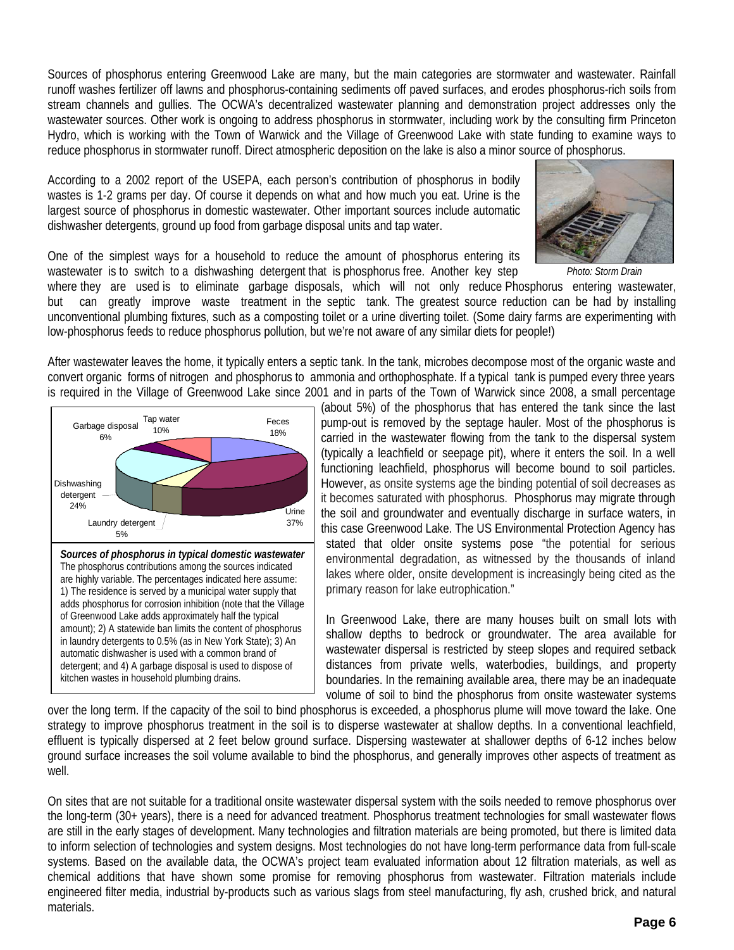Sources of phosphorus entering Greenwood Lake are many, but the main categories are stormwater and wastewater. Rainfall runoff washes fertilizer off lawns and phosphorus-containing sediments off paved surfaces, and erodes phosphorus-rich soils from stream channels and gullies. The OCWA's decentralized wastewater planning and demonstration project addresses only the wastewater sources. Other work is ongoing to address phosphorus in stormwater, including work by the consulting firm Princeton Hydro, which is working with the Town of Warwick and the Village of Greenwood Lake with state funding to examine ways to reduce phosphorus in stormwater runoff. Direct atmospheric deposition on the lake is also a minor source of phosphorus.

According to a 2002 report of the USEPA, each person's contribution of phosphorus in bodily wastes is 1-2 grams per day. Of course it depends on what and how much you eat. Urine is the largest source of phosphorus in domestic wastewater. Other important sources include automatic dishwasher detergents, ground up food from garbage disposal units and tap water.



One of the simplest ways for a household to reduce the amount of phosphorus entering its wastewater is to switch to a dishwashing detergent that is phosphorus free. Another key step

where they are used is to eliminate garbage disposals, which will not only reduce Phosphorus entering wastewater, but can greatly improve waste treatment in the septic tank. The greatest source reduction can be had by installing unconventional plumbing fixtures, such as a composting toilet or a urine diverting toilet. (Some dairy farms are experimenting with low-phosphorus feeds to reduce phosphorus pollution, but we're not aware of any similar diets for people!) *Photo: Storm Drain*

After wastewater leaves the home, it typically enters a septic tank. In the tank, microbes decompose most of the organic waste and convert organic forms of nitrogen and phosphorus to ammonia and orthophosphate. If a typical tank is pumped every three years is required in the Village of Greenwood Lake since 2001 and in parts of the Town of Warwick since 2008, a small percentage



(about 5%) of the phosphorus that has entered the tank since the last pump-out is removed by the septage hauler. Most of the phosphorus is carried in the wastewater flowing from the tank to the dispersal system (typically a leachfield or seepage pit), where it enters the soil. In a well functioning leachfield, phosphorus will become bound to soil particles. However, as onsite systems age the binding potential of soil decreases as it becomes saturated with phosphorus. Phosphorus may migrate through the soil and groundwater and eventually discharge in surface waters, in this case Greenwood Lake. The US Environmental Protection Agency has stated that older onsite systems pose "the potential for serious environmental degradation, as witnessed by the thousands of inland lakes where older, onsite development is increasingly being cited as the primary reason for lake eutrophication."

In Greenwood Lake, there are many houses built on small lots with shallow depths to bedrock or groundwater. The area available for wastewater dispersal is restricted by steep slopes and required setback distances from private wells, waterbodies, buildings, and property boundaries. In the remaining available area, there may be an inadequate volume of soil to bind the phosphorus from onsite wastewater systems

over the long term. If the capacity of the soil to bind phosphorus is exceeded, a phosphorus plume will move toward the lake. One strategy to improve phosphorus treatment in the soil is to disperse wastewater at shallow depths. In a conventional leachfield, effluent is typically dispersed at 2 feet below ground surface. Dispersing wastewater at shallower depths of 6-12 inches below ground surface increases the soil volume available to bind the phosphorus, and generally improves other aspects of treatment as well.

On sites that are not suitable for a traditional onsite wastewater dispersal system with the soils needed to remove phosphorus over the long-term (30+ years), there is a need for advanced treatment. Phosphorus treatment technologies for small wastewater flows are still in the early stages of development. Many technologies and filtration materials are being promoted, but there is limited data to inform selection of technologies and system designs. Most technologies do not have long-term performance data from full-scale systems. Based on the available data, the OCWA's project team evaluated information about 12 filtration materials, as well as chemical additions that have shown some promise for removing phosphorus from wastewater. Filtration materials include engineered filter media, industrial by-products such as various slags from steel manufacturing, fly ash, crushed brick, and natural materials.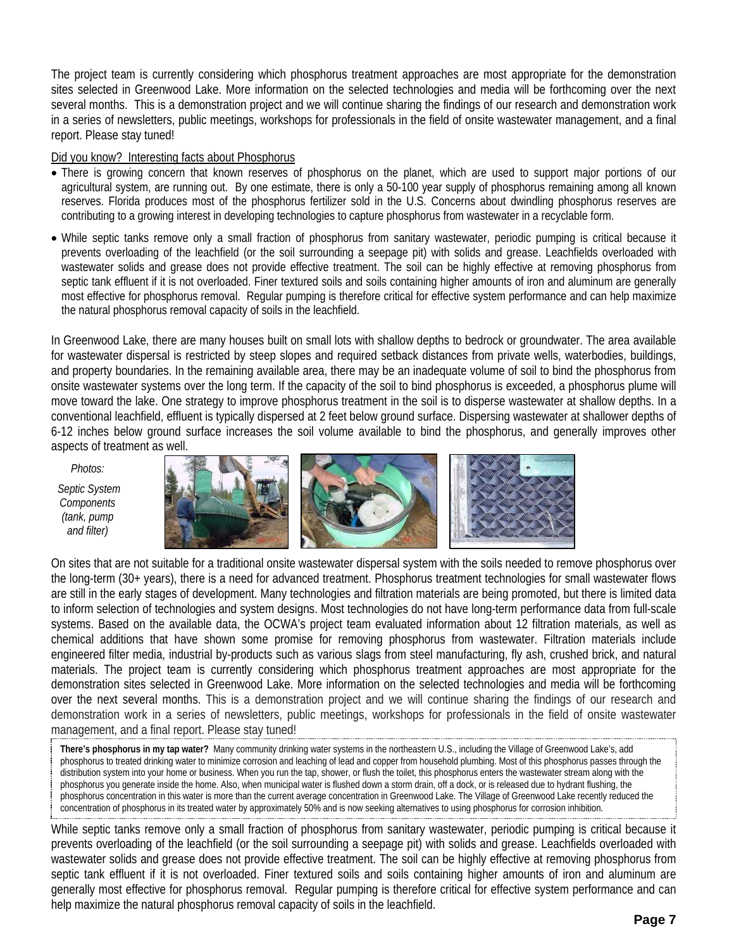The project team is currently considering which phosphorus treatment approaches are most appropriate for the demonstration sites selected in Greenwood Lake. More information on the selected technologies and media will be forthcoming over the next several months. This is a demonstration project and we will continue sharing the findings of our research and demonstration work in a series of newsletters, public meetings, workshops for professionals in the field of onsite wastewater management, and a final report. Please stay tuned!

#### Did you know? Interesting facts about Phosphorus

- There is growing concern that known reserves of phosphorus on the planet, which are used to support major portions of our agricultural system, are running out. By one estimate, there is only a 50-100 year supply of phosphorus remaining among all known reserves. Florida produces most of the phosphorus fertilizer sold in the U.S. Concerns about dwindling phosphorus reserves are contributing to a growing interest in developing technologies to capture phosphorus from wastewater in a recyclable form.
- While septic tanks remove only a small fraction of phosphorus from sanitary wastewater, periodic pumping is critical because it prevents overloading of the leachfield (or the soil surrounding a seepage pit) with solids and grease. Leachfields overloaded with wastewater solids and grease does not provide effective treatment. The soil can be highly effective at removing phosphorus from septic tank effluent if it is not overloaded. Finer textured soils and soils containing higher amounts of iron and aluminum are generally most effective for phosphorus removal. Regular pumping is therefore critical for effective system performance and can help maximize the natural phosphorus removal capacity of soils in the leachfield.

In Greenwood Lake, there are many houses built on small lots with shallow depths to bedrock or groundwater. The area available for wastewater dispersal is restricted by steep slopes and required setback distances from private wells, waterbodies, buildings, and property boundaries. In the remaining available area, there may be an inadequate volume of soil to bind the phosphorus from onsite wastewater systems over the long term. If the capacity of the soil to bind phosphorus is exceeded, a phosphorus plume will move toward the lake. One strategy to improve phosphorus treatment in the soil is to disperse wastewater at shallow depths. In a conventional leachfield, effluent is typically dispersed at 2 feet below ground surface. Dispersing wastewater at shallower depths of 6-12 inches below ground surface increases the soil volume available to bind the phosphorus, and generally improves other aspects of treatment as well.

*Photos:* 

 *Septic System Components (tank, pump and filter)* 



On sites that are not suitable for a traditional onsite wastewater dispersal system with the soils needed to remove phosphorus over the long-term (30+ years), there is a need for advanced treatment. Phosphorus treatment technologies for small wastewater flows are still in the early stages of development. Many technologies and filtration materials are being promoted, but there is limited data to inform selection of technologies and system designs. Most technologies do not have long-term performance data from full-scale systems. Based on the available data, the OCWA's project team evaluated information about 12 filtration materials, as well as chemical additions that have shown some promise for removing phosphorus from wastewater. Filtration materials include engineered filter media, industrial by-products such as various slags from steel manufacturing, fly ash, crushed brick, and natural materials. The project team is currently considering which phosphorus treatment approaches are most appropriate for the demonstration sites selected in Greenwood Lake. More information on the selected technologies and media will be forthcoming over the next several months. This is a demonstration project and we will continue sharing the findings of our research and demonstration work in a series of newsletters, public meetings, workshops for professionals in the field of onsite wastewater management, and a final report. Please stay tuned!

**There's phosphorus in my tap water?** Many community drinking water systems in the northeastern U.S., including the Village of Greenwood Lake's, add phosphorus to treated drinking water to minimize corrosion and leaching of lead and copper from household plumbing. Most of this phosphorus passes through the distribution system into your home or business. When you run the tap, shower, or flush the toilet, this phosphorus enters the wastewater stream along with the phosphorus you generate inside the home. Also, when municipal water is flushed down a storm drain, off a dock, or is released due to hydrant flushing, the phosphorus concentration in this water is more than the current average concentration in Greenwood Lake. The Village of Greenwood Lake recently reduced the concentration of phosphorus in its treated water by approximately 50% and is now seeking alternatives to using phosphorus for corrosion inhibition.

While septic tanks remove only a small fraction of phosphorus from sanitary wastewater, periodic pumping is critical because it prevents overloading of the leachfield (or the soil surrounding a seepage pit) with solids and grease. Leachfields overloaded with wastewater solids and grease does not provide effective treatment. The soil can be highly effective at removing phosphorus from septic tank effluent if it is not overloaded. Finer textured soils and soils containing higher amounts of iron and aluminum are generally most effective for phosphorus removal. Regular pumping is therefore critical for effective system performance and can help maximize the natural phosphorus removal capacity of soils in the leachfield.